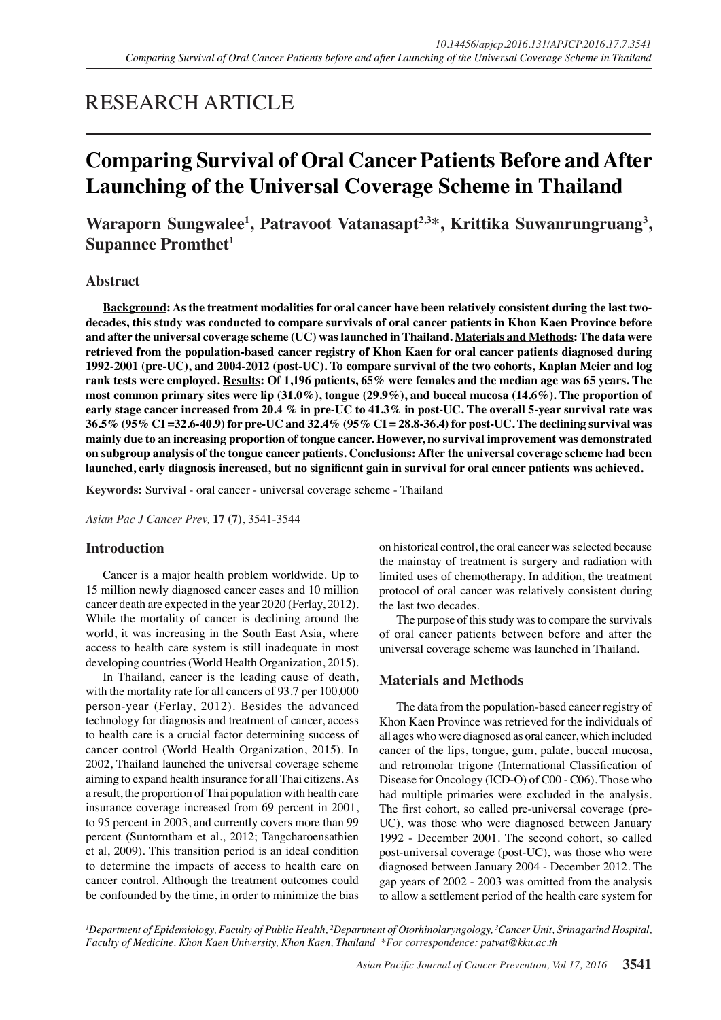## RESEARCH ARTICLE

# **Comparing Survival of Oral Cancer Patients Before and After Launching of the Universal Coverage Scheme in Thailand**

### Waraporn Sungwalee<sup>1</sup>, Patravoot Vatanasapt<sup>2,3\*</sup>, Krittika Suwanrungruang<sup>3</sup>, **Supannee Promthet**<sup>1</sup>

#### **Abstract**

**Background: As the treatment modalities for oral cancer have been relatively consistent during the last twodecades, this study was conducted to compare survivals of oral cancer patients in Khon Kaen Province before and after the universal coverage scheme (UC) was launched in Thailand. Materials and Methods: The data were retrieved from the population-based cancer registry of Khon Kaen for oral cancer patients diagnosed during 1992-2001 (pre-UC), and 2004-2012 (post-UC). To compare survival of the two cohorts, Kaplan Meier and log rank tests were employed. Results: Of 1,196 patients, 65% were females and the median age was 65 years. The most common primary sites were lip (31.0%), tongue (29.9%), and buccal mucosa (14.6%). The proportion of early stage cancer increased from 20.4 % in pre-UC to 41.3% in post-UC. The overall 5-year survival rate was 36.5% (95% CI =32.6-40.9) for pre-UC and 32.4% (95% CI = 28.8-36.4) for post-UC. The declining survival was mainly due to an increasing proportion of tongue cancer. However, no survival improvement was demonstrated on subgroup analysis of the tongue cancer patients. Conclusions: After the universal coverage scheme had been launched, early diagnosis increased, but no significant gain in survival for oral cancer patients was achieved.**

**Keywords:** Survival - oral cancer - universal coverage scheme - Thailand

*Asian Pac J Cancer Prev,* **17 (7)**, 3541-3544

#### **Introduction**

Cancer is a major health problem worldwide. Up to 15 million newly diagnosed cancer cases and 10 million cancer death are expected in the year 2020 (Ferlay, 2012). While the mortality of cancer is declining around the world, it was increasing in the South East Asia, where access to health care system is still inadequate in most developing countries (World Health Organization, 2015).

In Thailand, cancer is the leading cause of death, with the mortality rate for all cancers of 93.7 per 100,000 person-year (Ferlay, 2012). Besides the advanced technology for diagnosis and treatment of cancer, access to health care is a crucial factor determining success of cancer control (World Health Organization, 2015). In 2002, Thailand launched the universal coverage scheme aiming to expand health insurance for all Thai citizens. As a result, the proportion of Thai population with health care insurance coverage increased from 69 percent in 2001, to 95 percent in 2003, and currently covers more than 99 percent (Suntorntham et al., 2012; Tangcharoensathien et al, 2009). This transition period is an ideal condition to determine the impacts of access to health care on cancer control. Although the treatment outcomes could be confounded by the time, in order to minimize the bias on historical control, the oral cancer was selected because the mainstay of treatment is surgery and radiation with limited uses of chemotherapy. In addition, the treatment protocol of oral cancer was relatively consistent during the last two decades.

The purpose of this study was to compare the survivals of oral cancer patients between before and after the universal coverage scheme was launched in Thailand.

#### **Materials and Methods**

The data from the population-based cancer registry of Khon Kaen Province was retrieved for the individuals of all ages who were diagnosed as oral cancer, which included cancer of the lips, tongue, gum, palate, buccal mucosa, and retromolar trigone (International Classification of Disease for Oncology (ICD-O) of C00 - C06). Those who had multiple primaries were excluded in the analysis. The first cohort, so called pre-universal coverage (pre-UC), was those who were diagnosed between January 1992 - December 2001. The second cohort, so called post-universal coverage (post-UC), was those who were diagnosed between January 2004 - December 2012. The gap years of 2002 - 2003 was omitted from the analysis to allow a settlement period of the health care system for

*1 Department of Epidemiology, Faculty of Public Health, 2 Department of Otorhinolaryngology, 3 Cancer Unit, Srinagarind Hospital, Faculty of Medicine, Khon Kaen University, Khon Kaen, Thailand \*For correspondence: patvat@kku.ac.th*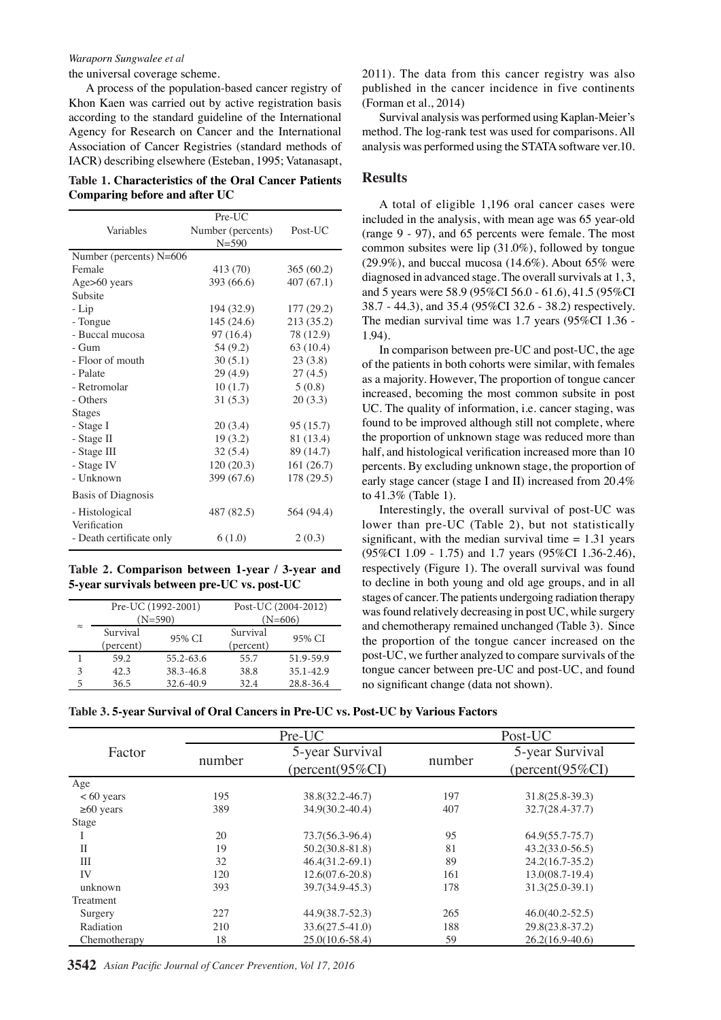the universal coverage scheme.

A process of the population-based cancer registry of Khon Kaen was carried out by active registration basis according to the standard guideline of the International Agency for Research on Cancer and the International Association of Cancer Registries (standard methods of IACR) describing elsewhere (Esteban, 1995; Vatanasapt,

| Table 1. Characteristics of the Oral Cancer Patients |
|------------------------------------------------------|
| Comparing before and after UC                        |

|                          | $Pre-UC$          |            |
|--------------------------|-------------------|------------|
| Variables                | Number (percents) | Post-UC    |
|                          | $N = 590$         |            |
| Number (percents) N=606  |                   |            |
| Female                   | 413 (70)          | 365(60.2)  |
| Age>60 years             | 393 (66.6)        | 407(67.1)  |
| Subsite                  |                   |            |
| - Lip                    | 194 (32.9)        | 177(29.2)  |
| - Tongue                 | 145(24.6)         | 213 (35.2) |
| - Buccal mucosa          | 97 (16.4)         | 78 (12.9)  |
| - Gum                    | 54 (9.2)          | 63(10.4)   |
| - Floor of mouth         | 30(5.1)           | 23(3.8)    |
| - Palate                 | 29(4.9)           | 27(4.5)    |
| - Retromolar             | 10(1.7)           | 5(0.8)     |
| - Others                 | 31(5.3)           | 20(3.3)    |
| Stages                   |                   |            |
| - Stage I                | 20(3.4)           | 95 (15.7)  |
| - Stage II               | 19(3.2)           | 81 (13.4)  |
| - Stage III              | 32(5.4)           | 89 (14.7)  |
| - Stage IV               | 120(20.3)         | 161(26.7)  |
| - Unknown                | 399 (67.6)        | 178 (29.5) |
| Basis of Diagnosis       |                   |            |
| - Histological           | 487 (82.5)        | 564 (94.4) |
| Verification             |                   |            |
| - Death certificate only | 6(1.0)            | 2(0.3)     |

**Table 2. Comparison between 1-year / 3-year and 5-year survivals between pre-UC vs. post-UC**

|                        | Pre-UC (1992-2001) |           | Post-UC (2004-2012) |               |
|------------------------|--------------------|-----------|---------------------|---------------|
|                        | $(N=590)$          |           | $(N=606)$           |               |
| $\approx$              | Survival           | 95% CI    | Survival            | 95% CI        |
|                        | (percent)          |           | (percent)           |               |
|                        | 59.2               | 55.2-63.6 | 55.7                | 51.9-59.9     |
| $\mathbf{\mathcal{R}}$ | 42.3               | 38.3-46.8 | 38.8                | $35.1 - 42.9$ |
|                        | 36.5               | 32.6-40.9 | 32.4                | 28.8-36.4     |

2011). The data from this cancer registry was also published in the cancer incidence in five continents (Forman et al., 2014)

Survival analysis was performed using Kaplan-Meier's method. The log-rank test was used for comparisons. All analysis was performed using the STATA software ver.10.

#### **Results**

A total of eligible 1,196 oral cancer cases were included in the analysis, with mean age was 65 year-old (range 9 - 97), and 65 percents were female. The most common subsites were lip (31.0%), followed by tongue (29.9%), and buccal mucosa (14.6%). About  $65\%$  were diagnosed in advanced stage. The overall survivals at 1, 3, and 5 years were 58.9 (95%CI 56.0 - 61.6), 41.5 (95%CI 38.7 - 44.3), and 35.4 (95%CI 32.6 - 38.2) respectively. The median survival time was 1.7 years (95%CI 1.36 - 1.94).

In comparison between pre-UC and post-UC, the age of the patients in both cohorts were similar, with females as a majority. However, The proportion of tongue cancer increased, becoming the most common subsite in post UC. The quality of information, i.e. cancer staging, was found to be improved although still not complete, where the proportion of unknown stage was reduced more than half, and histological verification increased more than 10 percents. By excluding unknown stage, the proportion of early stage cancer (stage I and II) increased from 20.4% to 41.3% (Table 1).

Interestingly, the overall survival of post-UC was lower than pre-UC (Table 2), but not statistically significant, with the median survival time  $= 1.31$  years (95%CI 1.09 - 1.75) and 1.7 years (95%CI 1.36-2.46), respectively (Figure 1). The overall survival was found to decline in both young and old age groups, and in all stages of cancer. The patients undergoing radiation therapy was found relatively decreasing in post UC, while surgery and chemotherapy remained unchanged (Table 3). Since the proportion of the tongue cancer increased on the post-UC, we further analyzed to compare survivals of the tongue cancer between pre-UC and post-UC, and found no significant change (data not shown).

|  |  | Table 3. 5-vear Survival of Oral Cancers in Pre-UC vs. Post-UC bv Various Factors |
|--|--|-----------------------------------------------------------------------------------|
|  |  |                                                                                   |

|                 |        | Pre-UC                                        |        | Post-UC                                      |  |
|-----------------|--------|-----------------------------------------------|--------|----------------------------------------------|--|
| Factor          | number | 5-year Survival<br>$(\text{percent}(95\%CI))$ | number | 5-year Survival<br>$(\text{percent}(95\%CI)$ |  |
| Age             |        |                                               |        |                                              |  |
| $< 60$ years    | 195    | 38.8(32.2-46.7)                               | 197    | $31.8(25.8-39.3)$                            |  |
| $\geq 60$ years | 389    | $34.9(30.2 - 40.4)$                           | 407    | $32.7(28.4-37.7)$                            |  |
| Stage           |        |                                               |        |                                              |  |
| T               | 20     | 73.7(56.3-96.4)                               | 95     | $64.9(55.7 - 75.7)$                          |  |
| $\mathbf{I}$    | 19     | $50.2(30.8 - 81.8)$                           | 81     | $43.2(33.0-56.5)$                            |  |
| III             | 32     | $46.4(31.2-69.1)$                             | 89     | $24.2(16.7-35.2)$                            |  |
| IV              | 120    | $12.6(07.6 - 20.8)$                           | 161    | $13.0(08.7-19.4)$                            |  |
| unknown         | 393    | 39.7(34.9-45.3)                               | 178    | $31.3(25.0 - 39.1)$                          |  |
| Treatment       |        |                                               |        |                                              |  |
| Surgery         | 227    | $44.9(38.7-52.3)$                             | 265    | $46.0(40.2 - 52.5)$                          |  |
| Radiation       | 210    | $33.6(27.5 - 41.0)$                           | 188    | 29.8(23.8-37.2)                              |  |
| Chemotherapy    | 18     | $25.0(10.6-58.4)$                             | 59     | $26.2(16.9-40.6)$                            |  |

**3542** *Asian Pacific Journal of Cancer Prevention, Vol 17, 2016*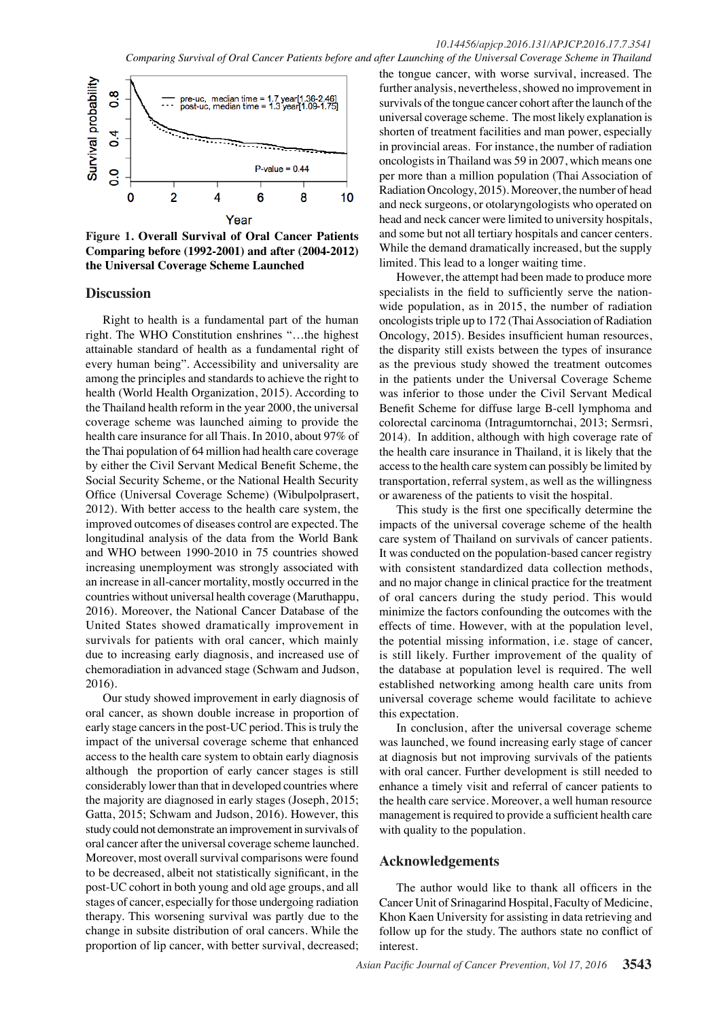

**Figure 1. Overall Survival of Oral Cancer Patients Comparing before (1992-2001) and after (2004-2012) the Universal Coverage Scheme Launched**

#### **Discussion**

Right to health is a fundamental part of the human right. The WHO Constitution enshrines "…the highest attainable standard of health as a fundamental right of every human being". Accessibility and universality are among the principles and standards to achieve the right to health (World Health Organization, 2015). According to the Thailand health reform in the year 2000, the universal coverage scheme was launched aiming to provide the health care insurance for all Thais. In 2010, about 97% of the Thai population of 64 million had health care coverage by either the Civil Servant Medical Benefit Scheme, the Social Security Scheme, or the National Health Security Office (Universal Coverage Scheme) (Wibulpolprasert, 2012). With better access to the health care system, the improved outcomes of diseases control are expected. The longitudinal analysis of the data from the World Bank and WHO between 1990-2010 in 75 countries showed increasing unemployment was strongly associated with an increase in all-cancer mortality, mostly occurred in the countries without universal health coverage (Maruthappu, 2016). Moreover, the National Cancer Database of the United States showed dramatically improvement in survivals for patients with oral cancer, which mainly due to increasing early diagnosis, and increased use of chemoradiation in advanced stage (Schwam and Judson, 2016).

Our study showed improvement in early diagnosis of oral cancer, as shown double increase in proportion of early stage cancers in the post-UC period. This is truly the impact of the universal coverage scheme that enhanced access to the health care system to obtain early diagnosis although the proportion of early cancer stages is still considerably lower than that in developed countries where the majority are diagnosed in early stages (Joseph, 2015; Gatta, 2015; Schwam and Judson, 2016). However, this study could not demonstrate an improvement in survivals of oral cancer after the universal coverage scheme launched. Moreover, most overall survival comparisons were found to be decreased, albeit not statistically significant, in the post-UC cohort in both young and old age groups, and all stages of cancer, especially for those undergoing radiation therapy. This worsening survival was partly due to the change in subsite distribution of oral cancers. While the proportion of lip cancer, with better survival, decreased;

the tongue cancer, with worse survival, increased. The further analysis, nevertheless, showed no improvement in survivals of the tongue cancer cohort after the launch of the universal coverage scheme. The most likely explanation is shorten of treatment facilities and man power, especially in provincial areas. For instance, the number of radiation oncologists in Thailand was 59 in 2007, which means one per more than a million population (Thai Association of Radiation Oncology, 2015). Moreover, the number of head and neck surgeons, or otolaryngologists who operated on head and neck cancer were limited to university hospitals, and some but not all tertiary hospitals and cancer centers. While the demand dramatically increased, but the supply limited. This lead to a longer waiting time.

However, the attempt had been made to produce more specialists in the field to sufficiently serve the nationwide population, as in 2015, the number of radiation oncologists triple up to 172 (Thai Association of Radiation Oncology, 2015). Besides insufficient human resources, the disparity still exists between the types of insurance as the previous study showed the treatment outcomes in the patients under the Universal Coverage Scheme was inferior to those under the Civil Servant Medical Benefit Scheme for diffuse large B-cell lymphoma and colorectal carcinoma (Intragumtornchai, 2013; Sermsri, 2014). In addition, although with high coverage rate of the health care insurance in Thailand, it is likely that the access to the health care system can possibly be limited by transportation, referral system, as well as the willingness or awareness of the patients to visit the hospital.

This study is the first one specifically determine the impacts of the universal coverage scheme of the health care system of Thailand on survivals of cancer patients. It was conducted on the population-based cancer registry with consistent standardized data collection methods, and no major change in clinical practice for the treatment of oral cancers during the study period. This would minimize the factors confounding the outcomes with the effects of time. However, with at the population level, the potential missing information, i.e. stage of cancer, is still likely. Further improvement of the quality of the database at population level is required. The well established networking among health care units from universal coverage scheme would facilitate to achieve this expectation.

In conclusion, after the universal coverage scheme was launched, we found increasing early stage of cancer at diagnosis but not improving survivals of the patients with oral cancer. Further development is still needed to enhance a timely visit and referral of cancer patients to the health care service. Moreover, a well human resource management is required to provide a sufficient health care with quality to the population.

#### **Acknowledgements**

The author would like to thank all officers in the Cancer Unit of Srinagarind Hospital, Faculty of Medicine, Khon Kaen University for assisting in data retrieving and follow up for the study. The authors state no conflict of interest.